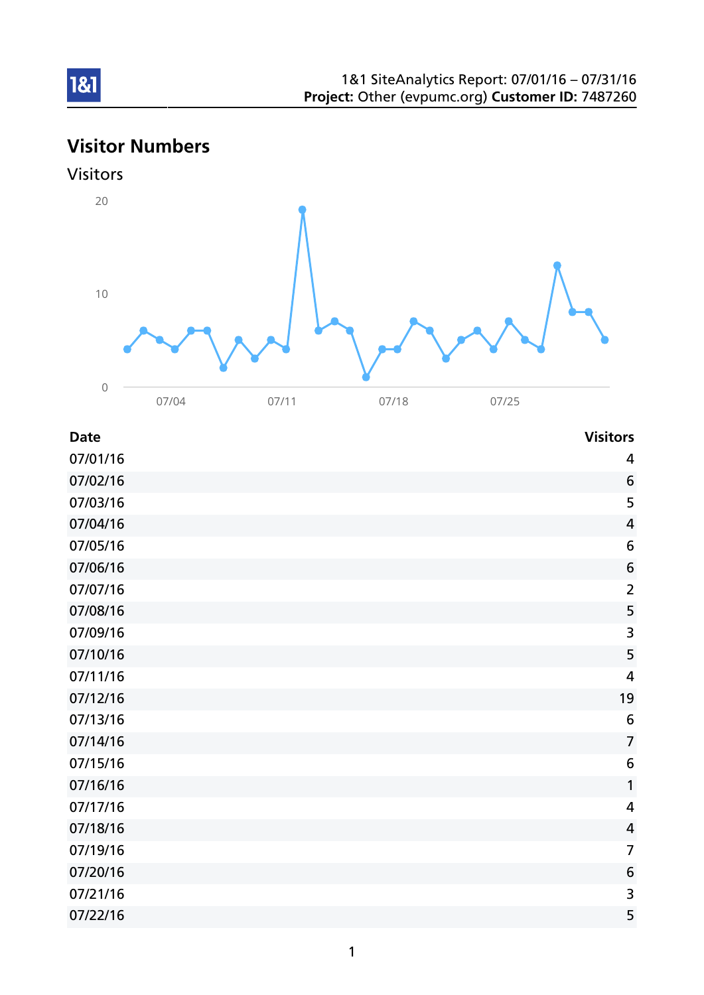# Visitor Numbers



1&1



| <b>Date</b> | <b>Visitors</b> |
|-------------|-----------------|
| 07/01/16    | $\overline{4}$  |
| 07/02/16    | 6               |
| 07/03/16    | 5               |
| 07/04/16    | $\overline{4}$  |
| 07/05/16    | 6               |
| 07/06/16    | $\sqrt{6}$      |
| 07/07/16    | $\overline{2}$  |
| 07/08/16    | 5               |
| 07/09/16    | 3               |
| 07/10/16    | 5               |
| 07/11/16    | $\overline{4}$  |
| 07/12/16    | 19              |
| 07/13/16    | 6               |
| 07/14/16    | $\overline{7}$  |
| 07/15/16    | 6               |
| 07/16/16    | 1               |
| 07/17/16    | $\overline{4}$  |
| 07/18/16    | $\overline{4}$  |
| 07/19/16    | $\overline{7}$  |
| 07/20/16    | 6               |
| 07/21/16    | $\overline{3}$  |
| 07/22/16    | 5               |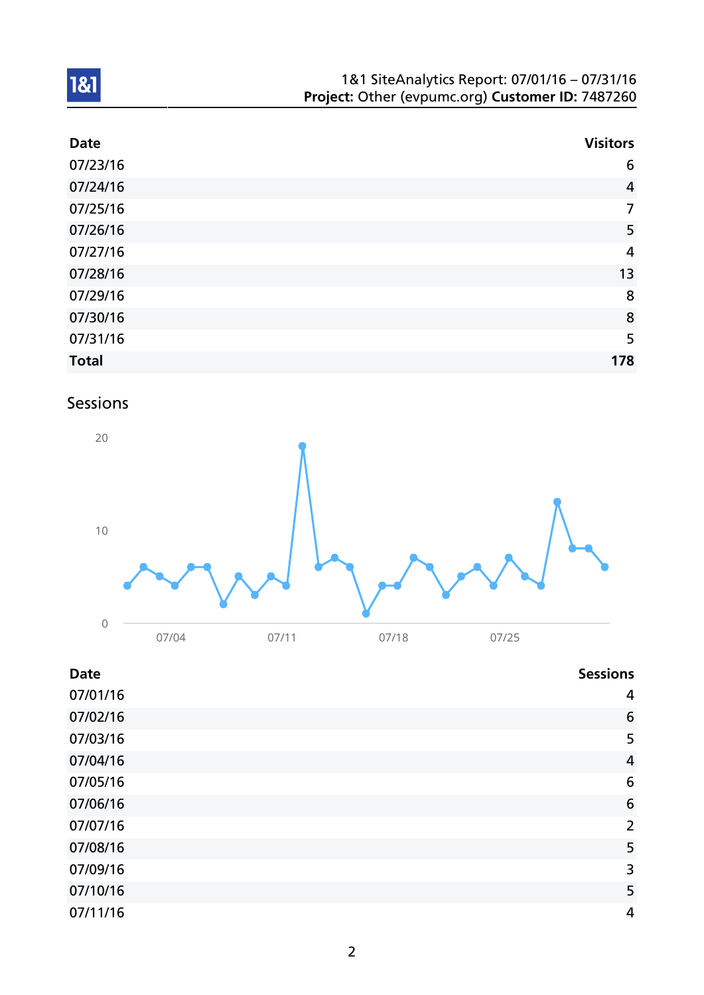| 1&1 SiteAnalytics Report: 07/01/16 - 07/31/16    |  |
|--------------------------------------------------|--|
| Project: Other (evpumc.org) Customer ID: 7487260 |  |

| <b>Date</b>  | <b>Visitors</b> |
|--------------|-----------------|
| 07/23/16     | 6               |
| 07/24/16     | $\overline{4}$  |
| 07/25/16     | $\overline{7}$  |
| 07/26/16     | 5               |
| 07/27/16     | $\overline{4}$  |
| 07/28/16     | 13              |
| 07/29/16     | 8               |
| 07/30/16     | 8               |
| 07/31/16     | 5               |
| <b>Total</b> | 178             |

# Sessions

1&1



### Date Sessions and the Sessions of the Sessions of the Sessions of the Sessions of the Sessions of the Sessions

| 07/01/16 | $\overline{4}$  |
|----------|-----------------|
| 07/02/16 | $6\phantom{1}6$ |
| 07/03/16 | 5               |
| 07/04/16 | $\overline{4}$  |
| 07/05/16 | 6               |
| 07/06/16 | 6               |
| 07/07/16 | $\overline{2}$  |
| 07/08/16 | 5               |
| 07/09/16 | 3               |
| 07/10/16 | 5               |
| 07/11/16 | $\overline{4}$  |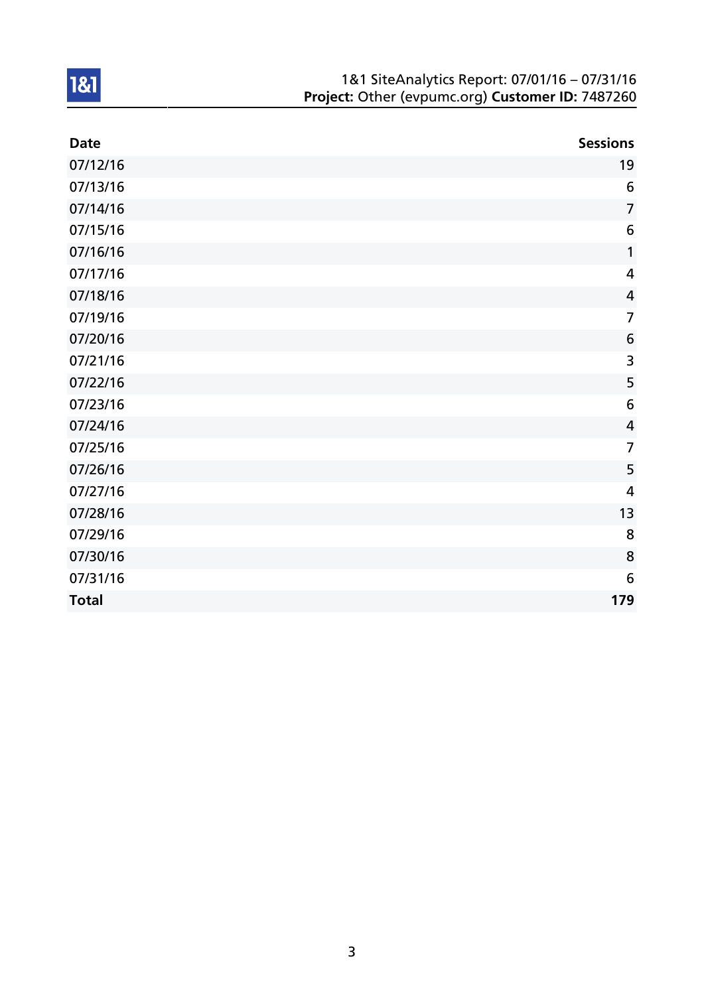| 1&1 SiteAnalytics Report: 07/01/16 - 07/31/16    |
|--------------------------------------------------|
| Project: Other (evpumc.org) Customer ID: 7487260 |

| <b>Date</b>  | <b>Sessions</b>         |
|--------------|-------------------------|
| 07/12/16     | 19                      |
| 07/13/16     | $6\phantom{1}6$         |
| 07/14/16     | $\overline{7}$          |
| 07/15/16     | 6                       |
| 07/16/16     | 1                       |
| 07/17/16     | $\overline{\mathbf{4}}$ |
| 07/18/16     | $\overline{4}$          |
| 07/19/16     | $\overline{7}$          |
| 07/20/16     | 6                       |
| 07/21/16     | $\overline{\mathbf{3}}$ |
| 07/22/16     | 5                       |
| 07/23/16     | $6\,$                   |
| 07/24/16     | $\overline{4}$          |
| 07/25/16     | $\overline{7}$          |
| 07/26/16     | 5                       |
| 07/27/16     | 4                       |
| 07/28/16     | 13                      |
| 07/29/16     | 8                       |
| 07/30/16     | 8                       |
| 07/31/16     | 6                       |
| <b>Total</b> | 179                     |

1&1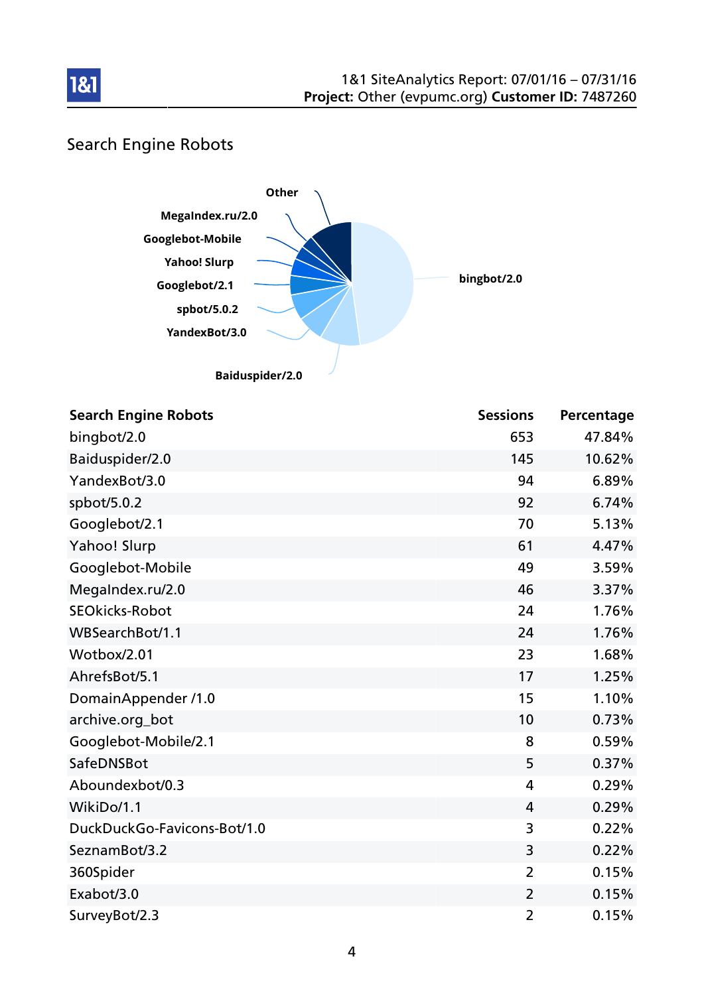

### Search Engine Robots

1&1



| <b>Search Engine Robots</b> | <b>Sessions</b> | Percentage |
|-----------------------------|-----------------|------------|
| bingbot/2.0                 | 653             | 47.84%     |
| Baiduspider/2.0             | 145             | 10.62%     |
| YandexBot/3.0               | 94              | 6.89%      |
| spbot/5.0.2                 | 92              | 6.74%      |
| Googlebot/2.1               | 70              | 5.13%      |
| Yahoo! Slurp                | 61              | 4.47%      |
| Googlebot-Mobile            | 49              | 3.59%      |
| MegaIndex.ru/2.0            | 46              | 3.37%      |
| <b>SEOkicks-Robot</b>       | 24              | 1.76%      |
| WBSearchBot/1.1             | 24              | 1.76%      |
| Wotbox/2.01                 | 23              | 1.68%      |
| AhrefsBot/5.1               | 17              | 1.25%      |
| DomainAppender /1.0         | 15              | 1.10%      |
| archive.org_bot             | 10              | 0.73%      |
| Googlebot-Mobile/2.1        | 8               | 0.59%      |
| SafeDNSBot                  | 5               | 0.37%      |
| Aboundexbot/0.3             | 4               | 0.29%      |
| WikiDo/1.1                  | 4               | 0.29%      |
| DuckDuckGo-Favicons-Bot/1.0 | 3               | 0.22%      |
| SeznamBot/3.2               | 3               | 0.22%      |
| 360Spider                   | $\overline{2}$  | 0.15%      |
| Exabot/3.0                  | $\overline{2}$  | 0.15%      |
| SurveyBot/2.3               | $\overline{2}$  | 0.15%      |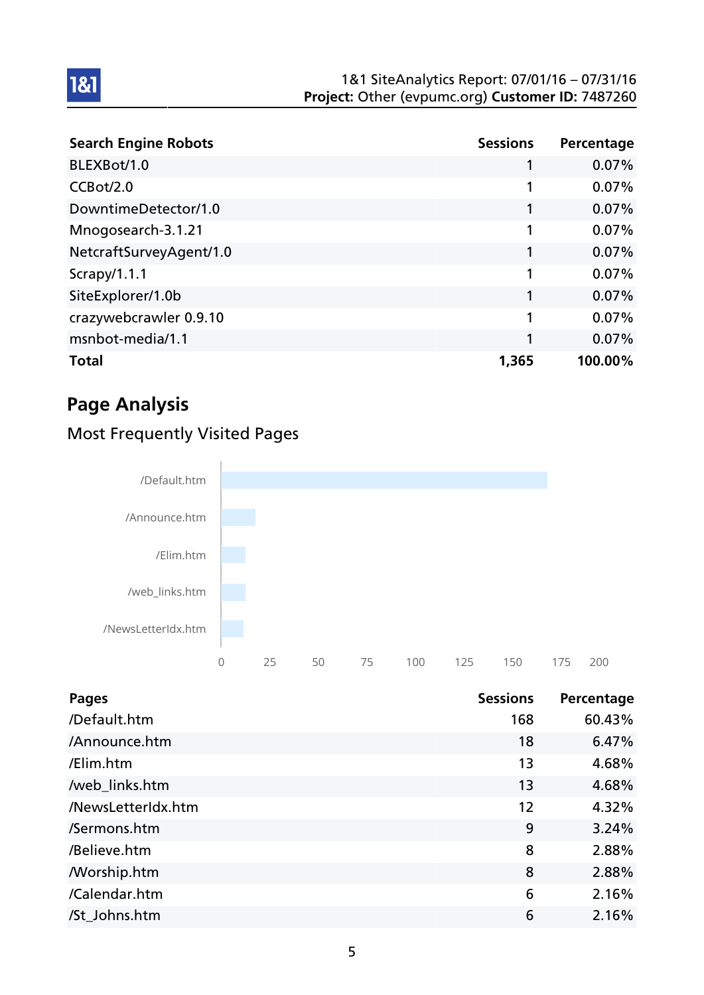#### 1&1 SiteAnalytics Report: 07/01/16 – 07/31/16 Project: Other (evpumc.org) Customer ID: 7487260

| <b>Search Engine Robots</b> | <b>Sessions</b> | Percentage |
|-----------------------------|-----------------|------------|
| BLEXBot/1.0                 |                 | 0.07%      |
| CCBot/2.0                   | 1               | 0.07%      |
| DowntimeDetector/1.0        |                 | 0.07%      |
| Mnogosearch-3.1.21          | 1               | 0.07%      |
| NetcraftSurveyAgent/1.0     |                 | 0.07%      |
| Scrapy/1.1.1                | 1               | 0.07%      |
| SiteExplorer/1.0b           | 1               | 0.07%      |
| crazywebcrawler 0.9.10      | 1               | 0.07%      |
| msnbot-media/1.1            | 1               | 0.07%      |
| <b>Total</b>                | 1,365           | 100.00%    |

# Page Analysis

1&1

### Most Frequently Visited Pages



| Pages              | <b>Sessions</b> | Percentage |
|--------------------|-----------------|------------|
| /Default.htm       | 168             | 60.43%     |
| /Announce.htm      | 18              | 6.47%      |
| /Elim.htm          | 13              | 4.68%      |
| /web_links.htm     | 13              | 4.68%      |
| /NewsLetterIdx.htm | 12              | 4.32%      |
| /Sermons.htm       | 9               | 3.24%      |
| /Believe.htm       | 8               | 2.88%      |
| <b>Morship.htm</b> | 8               | 2.88%      |
| /Calendar.htm      | 6               | 2.16%      |
| /St_Johns.htm      | 6               | 2.16%      |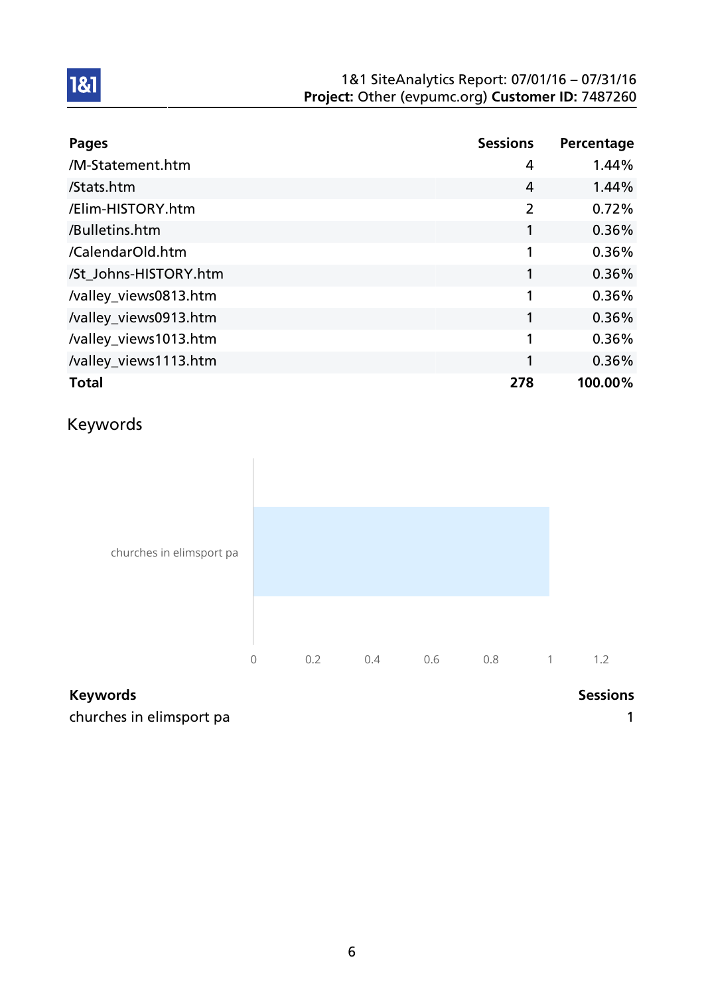#### 1&1 SiteAnalytics Report: 07/01/16 – 07/31/16 Project: Other (evpumc.org) Customer ID: 7487260

| <b>Pages</b>          | <b>Sessions</b> | Percentage |
|-----------------------|-----------------|------------|
| /M-Statement.htm      | 4               | 1.44%      |
| /Stats.htm            | 4               | 1.44%      |
| /Elim-HISTORY.htm     | 2               | 0.72%      |
| /Bulletins.htm        |                 | 0.36%      |
| /CalendarOld.htm      | 1               | 0.36%      |
| /St Johns-HISTORY.htm | 1               | 0.36%      |
| /valley_views0813.htm |                 | 0.36%      |
| /valley_views0913.htm | 1               | 0.36%      |
| /valley_views1013.htm | 1               | 0.36%      |
| /valley_views1113.htm | 1               | 0.36%      |
| <b>Total</b>          | 278             | 100.00%    |

# Keywords

1&1



### Keywords **Sessions**

churches in elimsport pa 1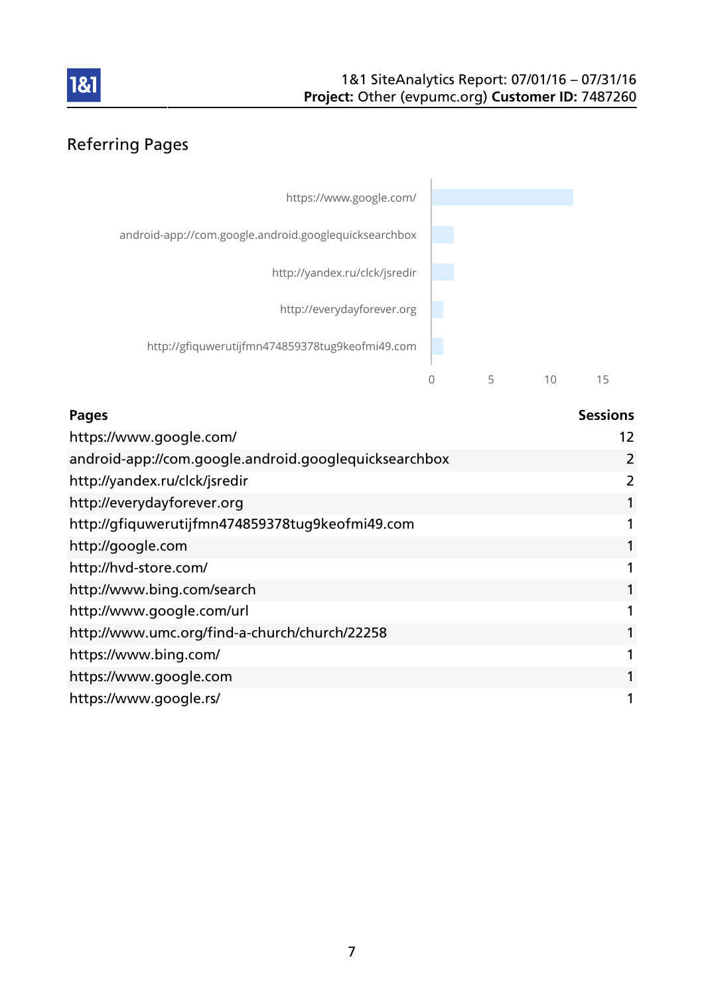

### Referring Pages



| <b>Pages</b>                                          | <b>Sessions</b> |
|-------------------------------------------------------|-----------------|
| https://www.google.com/                               | 12              |
| android-app://com.google.android.googlequicksearchbox | 2               |
| http://yandex.ru/clck/jsredir                         | 2               |
| http://everydayforever.org                            | 1               |
| http://gfiquwerutijfmn474859378tug9keofmi49.com       |                 |
| http://google.com                                     | 1               |
| http://hvd-store.com/                                 |                 |
| http://www.bing.com/search                            |                 |
| http://www.google.com/url                             | 1               |
| http://www.umc.org/find-a-church/church/22258         | 1               |
| https://www.bing.com/                                 | 1               |
| https://www.google.com                                | 1               |
| https://www.google.rs/                                | 1               |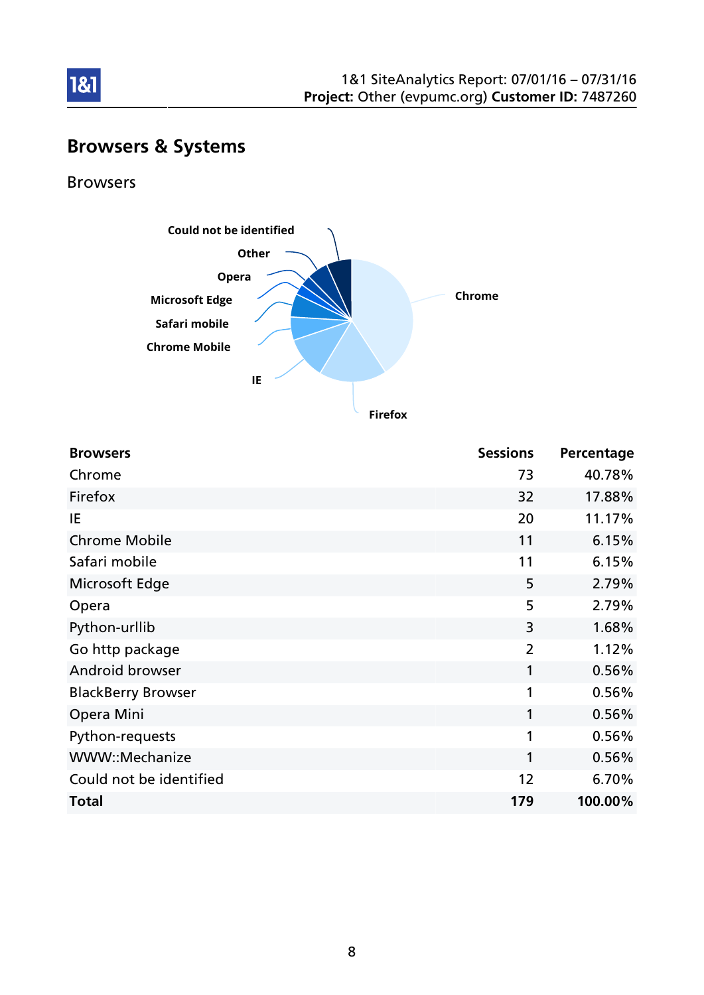

# Browsers & Systems

Browsers

1&1



**Firefox**

| <b>Browsers</b>           | <b>Sessions</b> | Percentage |
|---------------------------|-----------------|------------|
| Chrome                    | 73              | 40.78%     |
| Firefox                   | 32              | 17.88%     |
| IE                        | 20              | 11.17%     |
| <b>Chrome Mobile</b>      | 11              | 6.15%      |
| Safari mobile             | 11              | 6.15%      |
| Microsoft Edge            | 5               | 2.79%      |
| Opera                     | 5               | 2.79%      |
| Python-urllib             | 3               | 1.68%      |
| Go http package           | 2               | 1.12%      |
| Android browser           | 1               | 0.56%      |
| <b>BlackBerry Browser</b> | 1               | 0.56%      |
| Opera Mini                | 1               | 0.56%      |
| Python-requests           | 1               | 0.56%      |
| WWW::Mechanize            | 1               | 0.56%      |
| Could not be identified   | 12              | 6.70%      |
| <b>Total</b>              | 179             | 100.00%    |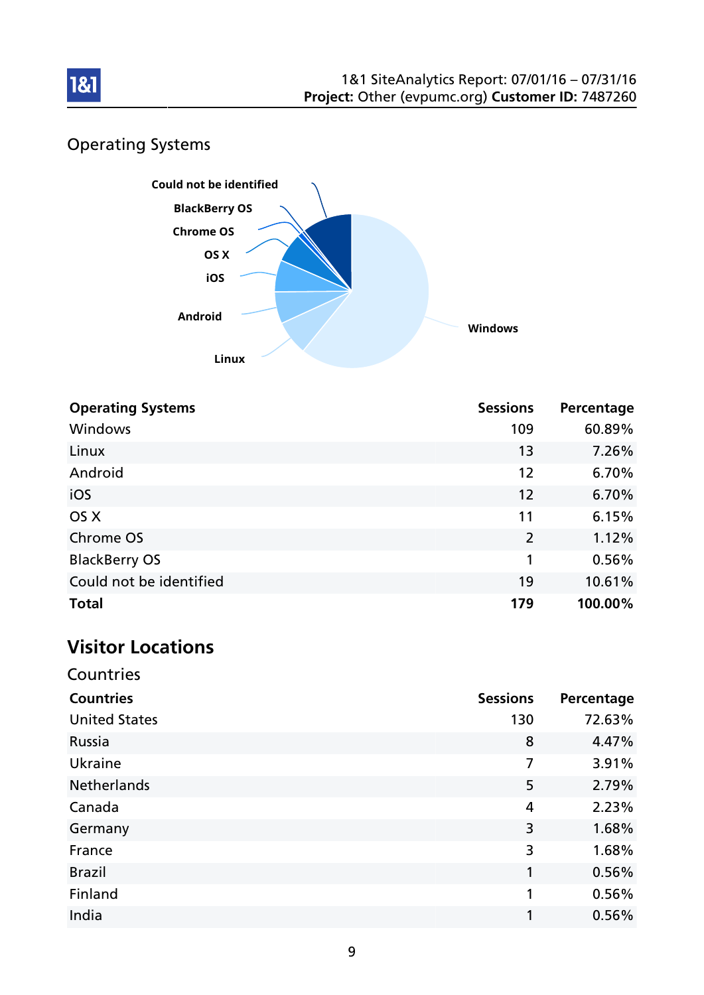

### Operating Systems



| <b>Operating Systems</b> | <b>Sessions</b> | Percentage |
|--------------------------|-----------------|------------|
| Windows                  | 109             | 60.89%     |
| Linux                    | 13              | 7.26%      |
| Android                  | 12              | 6.70%      |
| iOS                      | 12              | 6.70%      |
| OS X                     | 11              | 6.15%      |
| Chrome OS                | 2               | 1.12%      |
| <b>BlackBerry OS</b>     | 1               | 0.56%      |
| Could not be identified  | 19              | 10.61%     |
| <b>Total</b>             | 179             | 100.00%    |

# Visitor Locations

| Countries            |                 |            |
|----------------------|-----------------|------------|
| <b>Countries</b>     | <b>Sessions</b> | Percentage |
| <b>United States</b> | 130             | 72.63%     |
| Russia               | 8               | 4.47%      |
| Ukraine              | 7               | 3.91%      |
| <b>Netherlands</b>   | 5               | 2.79%      |
| Canada               | 4               | 2.23%      |
| Germany              | 3               | 1.68%      |
| France               | 3               | 1.68%      |
| <b>Brazil</b>        | 1               | 0.56%      |
| Finland              | 1               | 0.56%      |
| India                |                 | 0.56%      |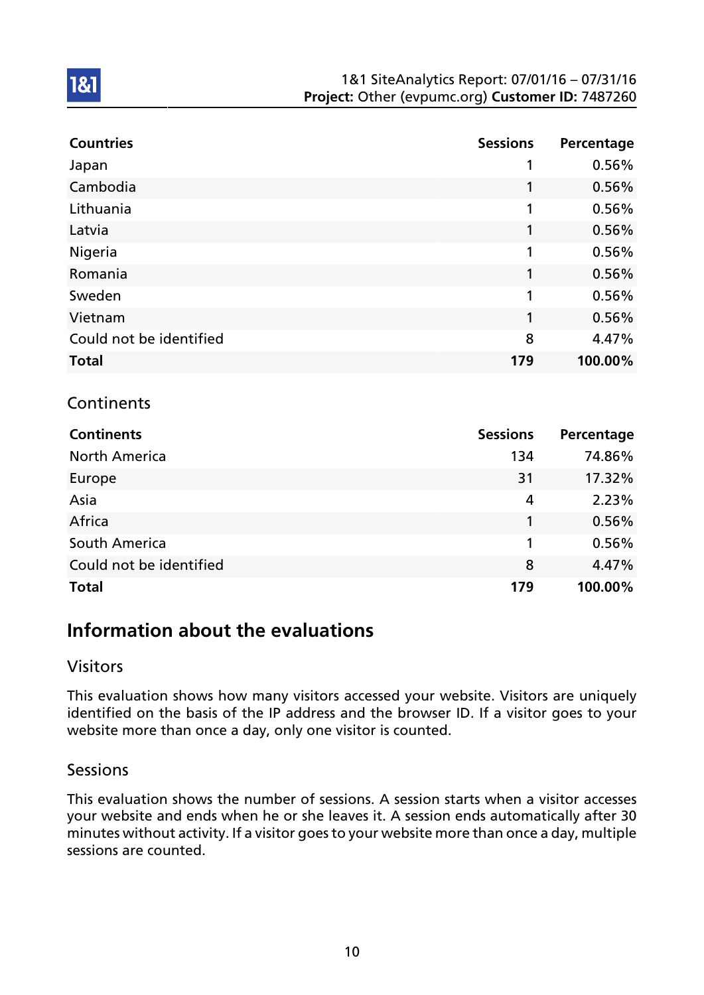#### 1&1 SiteAnalytics Report: 07/01/16 – 07/31/16 Project: Other (evpumc.org) Customer ID: 7487260

| <b>Countries</b>        | <b>Sessions</b> | Percentage |
|-------------------------|-----------------|------------|
| Japan                   |                 | 0.56%      |
| Cambodia                | 1               | 0.56%      |
| Lithuania               | 1               | 0.56%      |
| Latvia                  | 1               | 0.56%      |
| Nigeria                 | 1               | 0.56%      |
| Romania                 | 1               | 0.56%      |
| Sweden                  | 1               | 0.56%      |
| Vietnam                 | 1               | 0.56%      |
| Could not be identified | 8               | 4.47%      |
| <b>Total</b>            | 179             | 100.00%    |

### **Continents**

1&1

| <b>Continents</b>       | <b>Sessions</b> | Percentage |
|-------------------------|-----------------|------------|
| <b>North America</b>    | 134             | 74.86%     |
| Europe                  | 31              | 17.32%     |
| Asia                    | 4               | 2.23%      |
| Africa                  |                 | 0.56%      |
| South America           | 1               | 0.56%      |
| Could not be identified | 8               | 4.47%      |
| <b>Total</b>            | 179             | 100.00%    |

### Information about the evaluations

### Visitors

This evaluation shows how many visitors accessed your website. Visitors are uniquely identified on the basis of the IP address and the browser ID. If a visitor goes to your website more than once a day, only one visitor is counted.

#### Sessions

This evaluation shows the number of sessions. A session starts when a visitor accesses your website and ends when he or she leaves it. A session ends automatically after 30 minutes without activity. If a visitor goes to your website more than once a day, multiple sessions are counted.